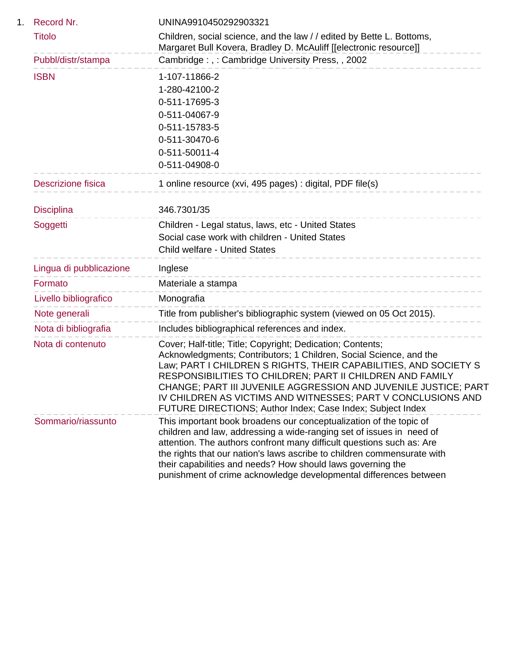| 1. | Record Nr.              | UNINA9910450292903321                                                                                                                                                                                                                                                                                                                                                                                                                                              |
|----|-------------------------|--------------------------------------------------------------------------------------------------------------------------------------------------------------------------------------------------------------------------------------------------------------------------------------------------------------------------------------------------------------------------------------------------------------------------------------------------------------------|
|    | <b>Titolo</b>           | Children, social science, and the law // edited by Bette L. Bottoms,<br>Margaret Bull Kovera, Bradley D. McAuliff [[electronic resource]]                                                                                                                                                                                                                                                                                                                          |
|    | Pubbl/distr/stampa      | Cambridge:,: Cambridge University Press,, 2002                                                                                                                                                                                                                                                                                                                                                                                                                     |
|    | <b>ISBN</b>             | 1-107-11866-2<br>1-280-42100-2<br>0-511-17695-3<br>0-511-04067-9<br>0-511-15783-5<br>0-511-30470-6<br>0-511-50011-4<br>0-511-04908-0                                                                                                                                                                                                                                                                                                                               |
|    | Descrizione fisica      | 1 online resource (xvi, 495 pages) : digital, PDF file(s)                                                                                                                                                                                                                                                                                                                                                                                                          |
|    | <b>Disciplina</b>       | 346.7301/35                                                                                                                                                                                                                                                                                                                                                                                                                                                        |
|    | Soggetti                | Children - Legal status, laws, etc - United States<br>Social case work with children - United States<br><b>Child welfare - United States</b>                                                                                                                                                                                                                                                                                                                       |
|    | Lingua di pubblicazione | Inglese                                                                                                                                                                                                                                                                                                                                                                                                                                                            |
|    | Formato                 | Materiale a stampa                                                                                                                                                                                                                                                                                                                                                                                                                                                 |
|    | Livello bibliografico   | Monografia                                                                                                                                                                                                                                                                                                                                                                                                                                                         |
|    | Note generali           | Title from publisher's bibliographic system (viewed on 05 Oct 2015).                                                                                                                                                                                                                                                                                                                                                                                               |
|    | Nota di bibliografia    | Includes bibliographical references and index.                                                                                                                                                                                                                                                                                                                                                                                                                     |
|    | Nota di contenuto       | Cover; Half-title; Title; Copyright; Dedication; Contents;<br>Acknowledgments; Contributors; 1 Children, Social Science, and the<br>Law; PART I CHILDREN S RIGHTS, THEIR CAPABILITIES, AND SOCIETY S<br>RESPONSIBILITIES TO CHILDREN; PART II CHILDREN AND FAMILY<br>CHANGE; PART III JUVENILE AGGRESSION AND JUVENILE JUSTICE; PART<br>IV CHILDREN AS VICTIMS AND WITNESSES; PART V CONCLUSIONS AND<br>FUTURE DIRECTIONS; Author Index; Case Index; Subject Index |
|    | Sommario/riassunto      | This important book broadens our conceptualization of the topic of<br>children and law, addressing a wide-ranging set of issues in need of<br>attention. The authors confront many difficult questions such as: Are<br>the rights that our nation's laws ascribe to children commensurate with<br>their capabilities and needs? How should laws governing the<br>punishment of crime acknowledge developmental differences between                                 |